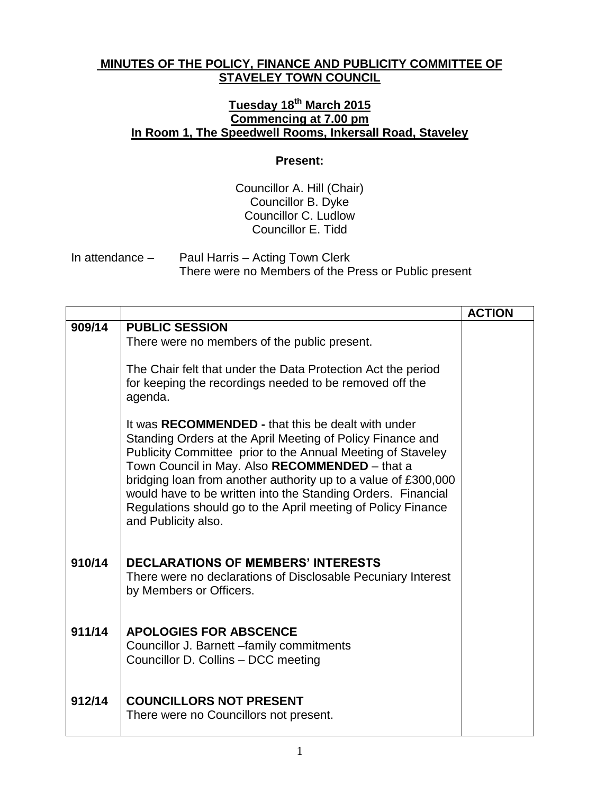## **MINUTES OF THE POLICY, FINANCE AND PUBLICITY COMMITTEE OF STAVELEY TOWN COUNCIL**

## **Tuesday 18th March 2015 Commencing at 7.00 pm In Room 1, The Speedwell Rooms, Inkersall Road, Staveley**

## **Present:**

Councillor A. Hill (Chair) Councillor B. Dyke Councillor C. Ludlow Councillor E. Tidd

In attendance – Paul Harris – Acting Town Clerk There were no Members of the Press or Public present

|        |                                                                                                                                                                                                                                                                                                                                                                                                                                                            | <b>ACTION</b> |
|--------|------------------------------------------------------------------------------------------------------------------------------------------------------------------------------------------------------------------------------------------------------------------------------------------------------------------------------------------------------------------------------------------------------------------------------------------------------------|---------------|
| 909/14 | <b>PUBLIC SESSION</b><br>There were no members of the public present.<br>The Chair felt that under the Data Protection Act the period                                                                                                                                                                                                                                                                                                                      |               |
|        | for keeping the recordings needed to be removed off the<br>agenda.                                                                                                                                                                                                                                                                                                                                                                                         |               |
|        | It was RECOMMENDED - that this be dealt with under<br>Standing Orders at the April Meeting of Policy Finance and<br>Publicity Committee prior to the Annual Meeting of Staveley<br>Town Council in May. Also RECOMMENDED - that a<br>bridging loan from another authority up to a value of £300,000<br>would have to be written into the Standing Orders. Financial<br>Regulations should go to the April meeting of Policy Finance<br>and Publicity also. |               |
| 910/14 | <b>DECLARATIONS OF MEMBERS' INTERESTS</b><br>There were no declarations of Disclosable Pecuniary Interest<br>by Members or Officers.                                                                                                                                                                                                                                                                                                                       |               |
| 911/14 | <b>APOLOGIES FOR ABSCENCE</b><br>Councillor J. Barnett - family commitments<br>Councillor D. Collins - DCC meeting                                                                                                                                                                                                                                                                                                                                         |               |
| 912/14 | <b>COUNCILLORS NOT PRESENT</b><br>There were no Councillors not present.                                                                                                                                                                                                                                                                                                                                                                                   |               |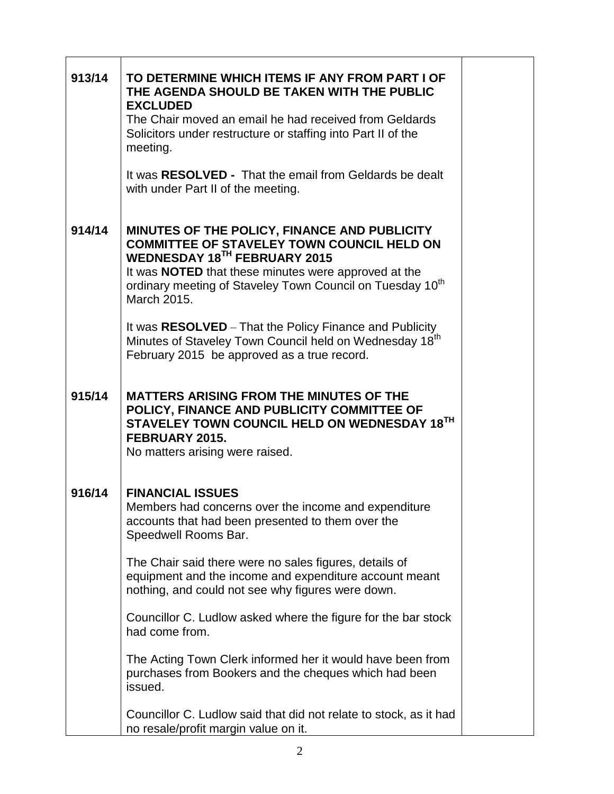| 913/14 | TO DETERMINE WHICH ITEMS IF ANY FROM PART I OF<br>THE AGENDA SHOULD BE TAKEN WITH THE PUBLIC<br><b>EXCLUDED</b><br>The Chair moved an email he had received from Geldards<br>Solicitors under restructure or staffing into Part II of the                                                |
|--------|------------------------------------------------------------------------------------------------------------------------------------------------------------------------------------------------------------------------------------------------------------------------------------------|
|        | meeting.<br>It was RESOLVED - That the email from Geldards be dealt<br>with under Part II of the meeting.                                                                                                                                                                                |
| 914/14 | MINUTES OF THE POLICY, FINANCE AND PUBLICITY<br><b>COMMITTEE OF STAVELEY TOWN COUNCIL HELD ON</b><br>WEDNESDAY 18TH FEBRUARY 2015<br>It was <b>NOTED</b> that these minutes were approved at the<br>ordinary meeting of Staveley Town Council on Tuesday 10 <sup>th</sup><br>March 2015. |
|        | It was RESOLVED - That the Policy Finance and Publicity<br>Minutes of Staveley Town Council held on Wednesday 18 <sup>th</sup><br>February 2015 be approved as a true record.                                                                                                            |
| 915/14 | <b>MATTERS ARISING FROM THE MINUTES OF THE</b><br>POLICY, FINANCE AND PUBLICITY COMMITTEE OF<br>STAVELEY TOWN COUNCIL HELD ON WEDNESDAY 18TH<br>FEBRUARY 2015.<br>No matters arising were raised.                                                                                        |
| 916/14 | <b>FINANCIAL ISSUES</b><br>Members had concerns over the income and expenditure<br>accounts that had been presented to them over the<br>Speedwell Rooms Bar.                                                                                                                             |
|        | The Chair said there were no sales figures, details of<br>equipment and the income and expenditure account meant<br>nothing, and could not see why figures were down.                                                                                                                    |
|        | Councillor C. Ludlow asked where the figure for the bar stock<br>had come from.                                                                                                                                                                                                          |
|        | The Acting Town Clerk informed her it would have been from<br>purchases from Bookers and the cheques which had been<br>issued.                                                                                                                                                           |
|        | Councillor C. Ludlow said that did not relate to stock, as it had<br>no resale/profit margin value on it.                                                                                                                                                                                |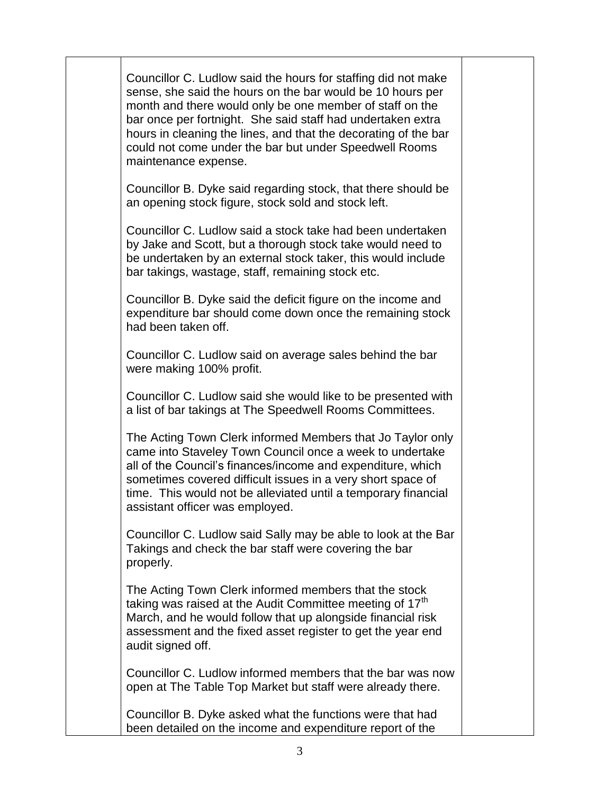Councillor C. Ludlow said the hours for staffing did not make sense, she said the hours on the bar would be 10 hours per month and there would only be one member of staff on the bar once per fortnight. She said staff had undertaken extra hours in cleaning the lines, and that the decorating of the bar could not come under the bar but under Speedwell Rooms maintenance expense.

Councillor B. Dyke said regarding stock, that there should be an opening stock figure, stock sold and stock left.

Councillor C. Ludlow said a stock take had been undertaken by Jake and Scott, but a thorough stock take would need to be undertaken by an external stock taker, this would include bar takings, wastage, staff, remaining stock etc.

Councillor B. Dyke said the deficit figure on the income and expenditure bar should come down once the remaining stock had been taken off.

Councillor C. Ludlow said on average sales behind the bar were making 100% profit.

Councillor C. Ludlow said she would like to be presented with a list of bar takings at The Speedwell Rooms Committees.

The Acting Town Clerk informed Members that Jo Taylor only came into Staveley Town Council once a week to undertake all of the Council's finances/income and expenditure, which sometimes covered difficult issues in a very short space of time. This would not be alleviated until a temporary financial assistant officer was employed.

Councillor C. Ludlow said Sally may be able to look at the Bar Takings and check the bar staff were covering the bar properly.

The Acting Town Clerk informed members that the stock taking was raised at the Audit Committee meeting of  $17<sup>th</sup>$ March, and he would follow that up alongside financial risk assessment and the fixed asset register to get the year end audit signed off.

Councillor C. Ludlow informed members that the bar was now open at The Table Top Market but staff were already there.

Councillor B. Dyke asked what the functions were that had been detailed on the income and expenditure report of the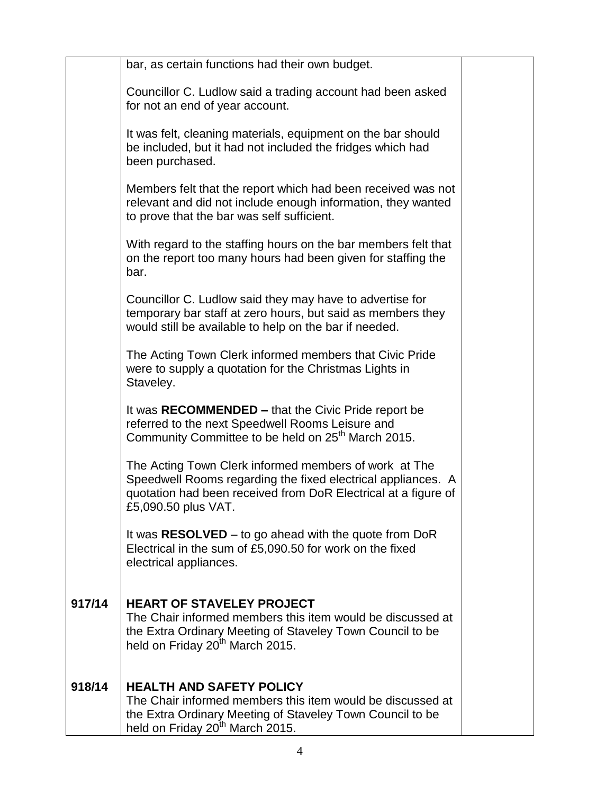|        | bar, as certain functions had their own budget.                                                                                                                                                                |  |
|--------|----------------------------------------------------------------------------------------------------------------------------------------------------------------------------------------------------------------|--|
|        | Councillor C. Ludlow said a trading account had been asked<br>for not an end of year account.                                                                                                                  |  |
|        | It was felt, cleaning materials, equipment on the bar should<br>be included, but it had not included the fridges which had<br>been purchased.                                                                  |  |
|        | Members felt that the report which had been received was not<br>relevant and did not include enough information, they wanted<br>to prove that the bar was self sufficient.                                     |  |
|        | With regard to the staffing hours on the bar members felt that<br>on the report too many hours had been given for staffing the<br>bar.                                                                         |  |
|        | Councillor C. Ludlow said they may have to advertise for<br>temporary bar staff at zero hours, but said as members they<br>would still be available to help on the bar if needed.                              |  |
|        | The Acting Town Clerk informed members that Civic Pride<br>were to supply a quotation for the Christmas Lights in<br>Staveley.                                                                                 |  |
|        | It was RECOMMENDED - that the Civic Pride report be<br>referred to the next Speedwell Rooms Leisure and<br>Community Committee to be held on 25 <sup>th</sup> March 2015.                                      |  |
|        | The Acting Town Clerk informed members of work at The<br>Speedwell Rooms regarding the fixed electrical appliances. A<br>quotation had been received from DoR Electrical at a figure of<br>£5,090.50 plus VAT. |  |
|        | It was $RESOLVED - to go ahead with the quote from DoR$<br>Electrical in the sum of £5,090.50 for work on the fixed<br>electrical appliances.                                                                  |  |
| 917/14 | <b>HEART OF STAVELEY PROJECT</b><br>The Chair informed members this item would be discussed at<br>the Extra Ordinary Meeting of Staveley Town Council to be<br>held on Friday 20 <sup>th</sup> March 2015.     |  |
| 918/14 | <b>HEALTH AND SAFETY POLICY</b><br>The Chair informed members this item would be discussed at<br>the Extra Ordinary Meeting of Staveley Town Council to be<br>held on Friday 20 <sup>th</sup> March 2015.      |  |